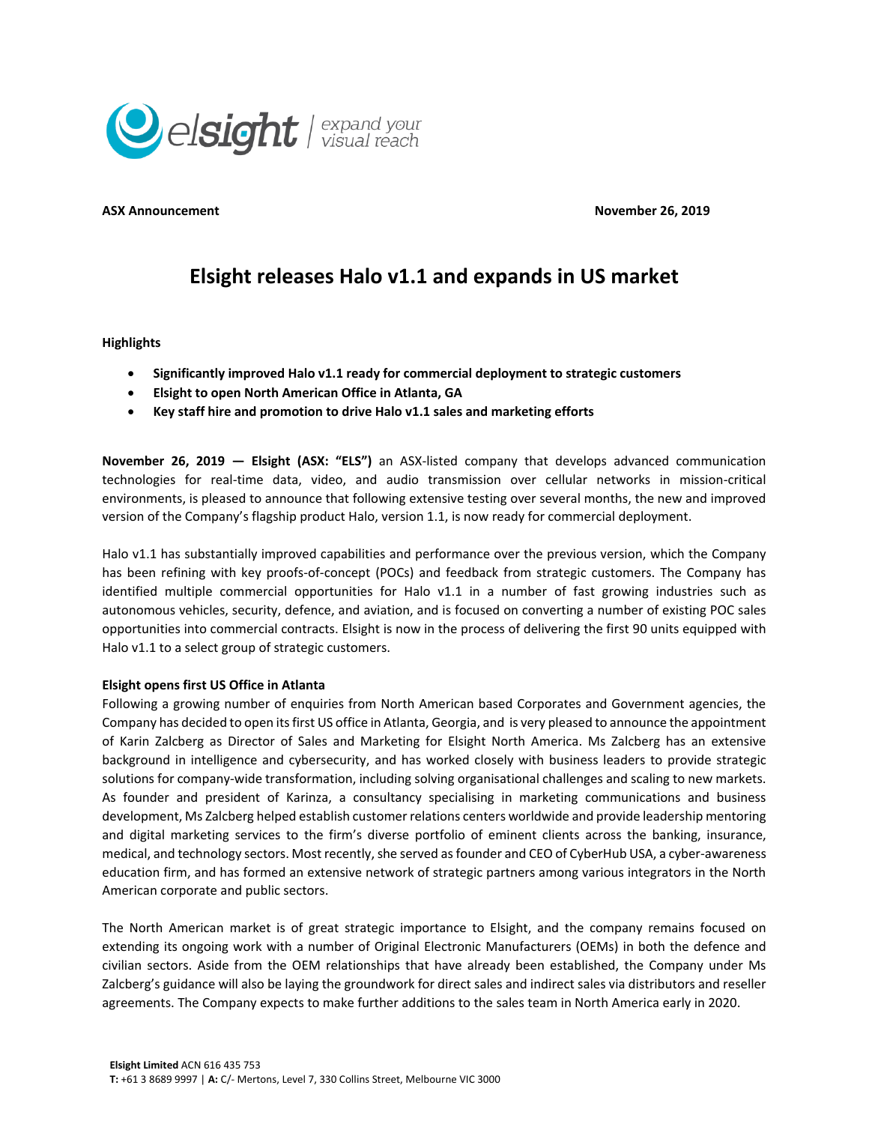

**ASX Announcement November 26, 2019** 

# **Elsight releases Halo v1.1 and expands in US market**

**Highlights**

- **Significantly improved Halo v1.1 ready for commercial deployment to strategic customers**
- **Elsight to open North American Office in Atlanta, GA**
- **Key staff hire and promotion to drive Halo v1.1 sales and marketing efforts**

**November 26, 2019 — Elsight (ASX: "ELS")** an ASX-listed company that develops advanced communication technologies for real-time data, video, and audio transmission over cellular networks in mission-critical environments, is pleased to announce that following extensive testing over several months, the new and improved version of the Company's flagship product Halo, version 1.1, is now ready for commercial deployment.

Halo v1.1 has substantially improved capabilities and performance over the previous version, which the Company has been refining with key proofs-of-concept (POCs) and feedback from strategic customers. The Company has identified multiple commercial opportunities for Halo v1.1 in a number of fast growing industries such as autonomous vehicles, security, defence, and aviation, and is focused on converting a number of existing POC sales opportunities into commercial contracts. Elsight is now in the process of delivering the first 90 units equipped with Halo v1.1 to a select group of strategic customers.

# **Elsight opens first US Office in Atlanta**

Following a growing number of enquiries from North American based Corporates and Government agencies, the Company has decided to open its first US office in Atlanta, Georgia, and is very pleased to announce the appointment of Karin Zalcberg as Director of Sales and Marketing for Elsight North America. Ms Zalcberg has an extensive background in intelligence and cybersecurity, and has worked closely with business leaders to provide strategic solutions for company-wide transformation, including solving organisational challenges and scaling to new markets. As founder and president of Karinza, a consultancy specialising in marketing communications and business development, Ms Zalcberg helped establish customer relations centers worldwide and provide leadership mentoring and digital marketing services to the firm's diverse portfolio of eminent clients across the banking, insurance, medical, and technology sectors. Most recently, she served as founder and CEO of CyberHub USA, a cyber-awareness education firm, and has formed an extensive network of strategic partners among various integrators in the North American corporate and public sectors.

The North American market is of great strategic importance to Elsight, and the company remains focused on extending its ongoing work with a number of Original Electronic Manufacturers (OEMs) in both the defence and civilian sectors. Aside from the OEM relationships that have already been established, the Company under Ms Zalcberg's guidance will also be laying the groundwork for direct sales and indirect sales via distributors and reseller agreements. The Company expects to make further additions to the sales team in North America early in 2020.